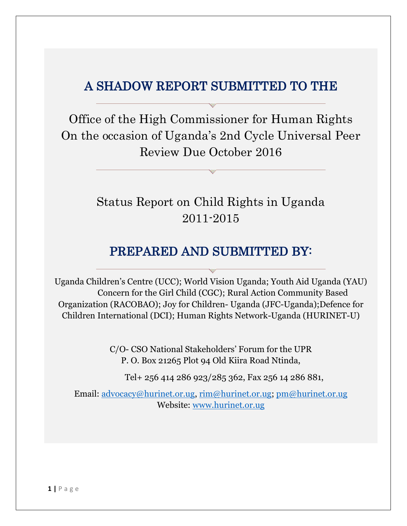## A SHADOW REPORT SUBMITTED TO THE

Office of the High Commissioner for Human Rights On the occasion of Uganda's 2nd Cycle Universal Peer Review Due October 2016

# Status Report on Child Rights in Uganda 2011-2015

## PREPARED AND SUBMITTED BY:

Uganda Children's Centre (UCC); World Vision Uganda; Youth Aid Uganda (YAU) Concern for the Girl Child (CGC); Rural Action Community Based Organization (RACOBAO); Joy for Children- Uganda (JFC-Uganda);Defence for Children International (DCI); Human Rights Network-Uganda (HURINET-U)

> C/O- CSO National Stakeholders' Forum for the UPR P. O. Box 21265 Plot 94 Old Kiira Road Ntinda,

Tel+ 256 414 286 923/285 362, Fax 256 14 286 881,

Email: [advocacy@hurinet.or.ug,](mailto:advocacy@hurinet.or.ug) [rim@hurinet.or.ug;](mailto:rim@hurinet.or.ug) [pm@hurinet.or.ug](mailto:pm@hurinet.or.ug)  Website: [www.hurinet.or.ug](http://www.hurinet.or.ug/)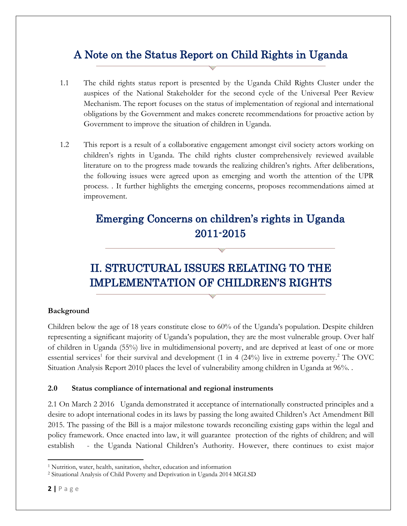## A Note on the Status Report on Child Rights in Uganda

- 1.1 The child rights status report is presented by the Uganda Child Rights Cluster under the auspices of the National Stakeholder for the second cycle of the Universal Peer Review Mechanism. The report focuses on the status of implementation of regional and international obligations by the Government and makes concrete recommendations for proactive action by Government to improve the situation of children in Uganda.
- 1.2 This report is a result of a collaborative engagement amongst civil society actors working on children's rights in Uganda. The child rights cluster comprehensively reviewed available literature on to the progress made towards the realizing children's rights. After deliberations, the following issues were agreed upon as emerging and worth the attention of the UPR process. . It further highlights the emerging concerns, proposes recommendations aimed at improvement.

## Emerging Concerns on children's rights in Uganda 2011-2015

# II. STRUCTURAL ISSUES RELATING TO THE IMPLEMENTATION OF CHILDREN'S RIGHTS

## **Background**

Children below the age of 18 years constitute close to 60% of the Uganda's population. Despite children representing a significant majority of Uganda's population, they are the most vulnerable group. Over half of children in Uganda (55%) live in multidimensional poverty, and are deprived at least of one or more essential services<sup>1</sup> for their survival and development (1 in 4 (24%) live in extreme poverty.<sup>2</sup> The OVC Situation Analysis Report 2010 places the level of vulnerability among children in Uganda at 96%. .

## **2.0 Status compliance of international and regional instruments**

2.1 On March 2 2016 Uganda demonstrated it acceptance of internationally constructed principles and a desire to adopt international codes in its laws by passing the long awaited Children's Act Amendment Bill 2015. The passing of the Bill is a major milestone towards reconciling existing gaps within the legal and policy framework. Once enacted into law, it will guarantee protection of the rights of children; and will establish - the Uganda National Children's Authority. However, there continues to exist major

 $\overline{\phantom{a}}$ 

<sup>&</sup>lt;sup>1</sup> Nutrition, water, health, sanitation, shelter, education and information

<sup>2</sup> Situational Analysis of Child Poverty and Deprivation in Uganda 2014 MGLSD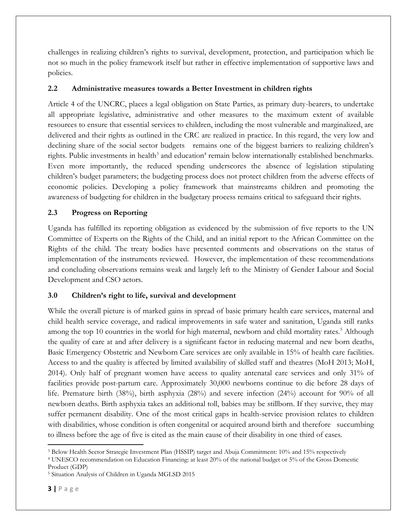challenges in realizing children's rights to survival, development, protection, and participation which lie not so much in the policy framework itself but rather in effective implementation of supportive laws and policies.

## **2.2 Administrative measures towards a Better Investment in children rights**

Article 4 of the UNCRC, places a legal obligation on State Parties, as primary duty-bearers, to undertake all appropriate legislative, administrative and other measures to the maximum extent of available resources to ensure that essential services to children, including the most vulnerable and marginalized, are delivered and their rights as outlined in the CRC are realized in practice. In this regard, the very low and declining share of the social sector budgets remains one of the biggest barriers to realizing children's rights. Public investments in health<sup>3</sup> and education<sup>4</sup> remain below internationally established benchmarks. Even more importantly, the reduced spending underscores the absence of legislation stipulating children's budget parameters; the budgeting process does not protect children from the adverse effects of economic policies. Developing a policy framework that mainstreams children and promoting the awareness of budgeting for children in the budgetary process remains critical to safeguard their rights.

## **2.3 Progress on Reporting**

Uganda has fulfilled its reporting obligation as evidenced by the submission of five reports to the UN Committee of Experts on the Rights of the Child, and an initial report to the African Committee on the Rights of the child. The treaty bodies have presented comments and observations on the status of implementation of the instruments reviewed. However, the implementation of these recommendations and concluding observations remains weak and largely left to the Ministry of Gender Labour and Social Development and CSO actors.

## **3.0 Children's right to life, survival and development**

While the overall picture is of marked gains in spread of basic primary health care services, maternal and child health service coverage, and radical improvements in safe water and sanitation, Uganda still ranks among the top 10 countries in the world for high maternal, newborn and child mortality rates.<sup>5</sup> Although the quality of care at and after delivery is a significant factor in reducing maternal and new born deaths, Basic Emergency Obstetric and Newborn Care services are only available in 15% of health care facilities. Access to and the quality is affected by limited availability of skilled staff and theatres (MoH 2013; MoH, 2014). Only half of pregnant women have access to quality antenatal care services and only 31% of facilities provide post-partum care. Approximately 30,000 newborns continue to die before 28 days of life. Premature birth (38%), birth asphyxia (28%) and severe infection (24%) account for 90% of all newborn deaths. Birth asphyxia takes an additional toll, babies may be stillborn. If they survive, they may suffer permanent disability. One of the most critical gaps in health-service provision relates to children with disabilities, whose condition is often congenital or acquired around birth and therefore succumbing to illness before the age of five is cited as the main cause of their disability in one third of cases.

<sup>4</sup> UNESCO recommendation on Education Financing: at least 20% of the national budget or 5% of the Gross Domestic Product (GDP)

l

<sup>3</sup> Below Health Sector Strategic Investment Plan (HSSIP) target and Abuja Commitment: 10% and 15% respectively

<sup>5</sup> Situation Analysis of Children in Uganda MGLSD 2015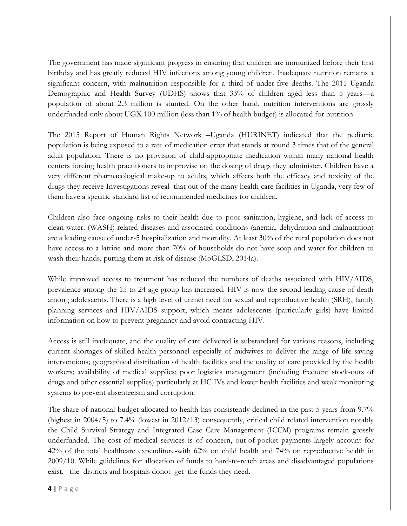The government has made significant progress in ensuring that children are immunized before their first birthday and has greatly reduced HIV infections among young children. Inadequate nutrition remains a significant concern, with malnutrition responsible for a third of under-five deaths. The 2011 Uganda Demographic and Health Survey (UDHS) shows that 33% of children aged less than 5 years—a population of about 2.3 million is stunted. On the other hand, nutrition interventions are grossly underfunded only about UGX 100 million (less than 1% of health budget) is allocated for nutrition.

The 2015 Report of Human Rights Network –Uganda (HURINET) indicated that the pediatric population is being exposed to a rate of medication error that stands at round 3 times that of the general adult population. There is no provision of child-appropriate medication within many national health centers forcing health practitioners to improvise on the dosing of drugs they administer. Children have a very different pharmacological make-up to adults, which affects both the efficacy and toxicity of the drugs they receive Investigations reveal that out of the many health care facilities in Uganda, very few of them have a specific standard list of recommended medicines for children.

Children also face ongoing risks to their health due to poor sanitation, hygiene, and lack of access to clean water. (WASH)-related diseases and associated conditions (anemia, dehydration and malnutrition) are a leading cause of under-5 hospitalization and mortality. At least 30% of the rural population does not have access to a latrine and more than 70% of households do not have soap and water for children to wash their hands, putting them at risk of disease (MoGLSD, 2014a).

While improved access to treatment has reduced the numbers of deaths associated with HIV/AIDS, prevalence among the 15 to 24 age group has increased. HIV is now the second leading cause of death among adolescents. There is a high level of unmet need for sexual and reproductive health (SRH), family planning services and HIV/AIDS support, which means adolescents (particularly girls) have limited information on how to prevent pregnancy and avoid contracting HIV.

Access is still inadequate, and the quality of care delivered is substandard for various reasons, including current shortages of skilled health personnel especially of midwives to deliver the range of life saving interventions; geographical distribution of health facilities and the quality of care provided by the health workers; availability of medical supplies; poor logistics management (including frequent stock-outs of drugs and other essential supplies) particularly at HC IVs and lower health facilities and weak monitoring systems to prevent absenteeism and corruption.

The share of national budget allocated to health has consistently declined in the past 5 years from 9.7% (highest in 2004/5) to 7.4% (lowest in 2012/13) consequently, critical child related intervention notably the Child Survival Strategy and Integrated Case Care Management (ICCM) programs remain grossly underfunded. The cost of medical services is of concern, out-of-pocket payments largely account for 42% of the total healthcare expenditure-with 62% on child health and 74% on reproductive health in 2009/10. While guidelines for allocation of funds to hard-to-reach areas and disadvantaged populations exist, the districts and hospitals donot get the funds they need.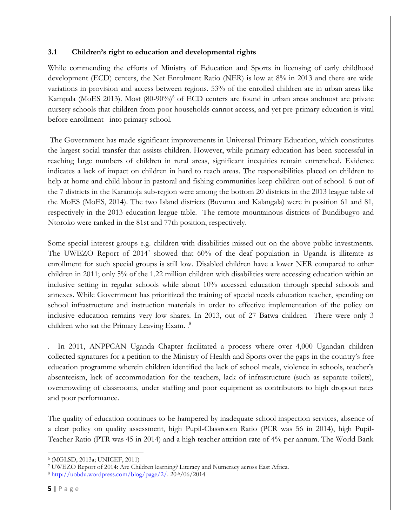## **3.1 Children's right to education and developmental rights**

While commending the efforts of Ministry of Education and Sports in licensing of early childhood development (ECD) centers, the Net Enrolment Ratio (NER) is low at 8% in 2013 and there are wide variations in provision and access between regions. 53% of the enrolled children are in urban areas like Kampala (MoES 2013). Most (80-90%)<sup>6</sup> of ECD centers are found in urban areas andmost are private nursery schools that children from poor households cannot access, and yet pre-primary education is vital before enrollment into primary school.

The Government has made significant improvements in Universal Primary Education, which constitutes the largest social transfer that assists children. However, while primary education has been successful in reaching large numbers of children in rural areas, significant inequities remain entrenched. Evidence indicates a lack of impact on children in hard to reach areas. The responsibilities placed on children to help at home and child labour in pastoral and fishing communities keep children out of school. 6 out of the 7 districts in the Karamoja sub-region were among the bottom 20 districts in the 2013 league table of the MoES (MoES, 2014). The two Island districts (Buvuma and Kalangala) were in position 61 and 81, respectively in the 2013 education league table. The remote mountainous districts of Bundibugyo and Ntoroko were ranked in the 81st and 77th position, respectively.

Some special interest groups e.g. children with disabilities missed out on the above public investments. The UWEZO Report of  $2014^7$  showed that  $60\%$  of the deaf population in Uganda is illiterate as enrollment for such special groups is still low. Disabled children have a lower NER compared to other children in 2011; only 5% of the 1.22 million children with disabilities were accessing education within an inclusive setting in regular schools while about 10% accessed education through special schools and annexes. While Government has prioritized the training of special needs education teacher, spending on school infrastructure and instruction materials in order to effective implementation of the policy on inclusive education remains very low shares. In 2013, out of 27 Batwa children There were only 3 children who sat the Primary Leaving Exam. . 8

. In 2011, ANPPCAN Uganda Chapter facilitated a process where over 4,000 Ugandan children collected signatures for a petition to the Ministry of Health and Sports over the gaps in the country's free education programme wherein children identified the lack of school meals, violence in schools, teacher's absenteeism, lack of accommodation for the teachers, lack of infrastructure (such as separate toilets), overcrowding of classrooms, under staffing and poor equipment as contributors to high dropout rates and poor performance.

The quality of education continues to be hampered by inadequate school inspection services, absence of a clear policy on quality assessment, high Pupil-Classroom Ratio (PCR was 56 in 2014), high Pupil-Teacher Ratio (PTR was 45 in 2014) and a high teacher attrition rate of 4% per annum. The World Bank

l

<sup>6</sup> (MGLSD, 2013a; UNICEF, 2011)

<sup>7</sup> UWEZO Report of 2014: Are Children learning? Literacy and Numeracy across East Africa.

 $8 \frac{\text{http://uobdu.wordpress.com/blog/page/2/.} 20\text{th}/06/2014}$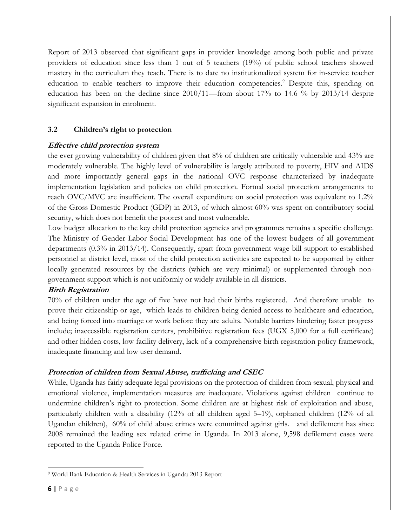Report of 2013 observed that significant gaps in provider knowledge among both public and private providers of education since less than 1 out of 5 teachers (19%) of public school teachers showed mastery in the curriculum they teach. There is to date no institutionalized system for in-service teacher education to enable teachers to improve their education competencies.<sup>9</sup> Despite this, spending on education has been on the decline since 2010/11—from about 17% to 14.6 % by 2013/14 despite significant expansion in enrolment.

## **3.2 Children's right to protection**

#### **Effective child protection system**

the ever growing vulnerability of children given that 8% of children are critically vulnerable and 43% are moderately vulnerable. The highly level of vulnerability is largely attributed to poverty, HIV and AIDS and more importantly general gaps in the national OVC response characterized by inadequate implementation legislation and policies on child protection. Formal social protection arrangements to reach OVC/MVC are insufficient. The overall expenditure on social protection was equivalent to 1.2% of the Gross Domestic Product (GDP) in 2013, of which almost 60% was spent on contributory social security, which does not benefit the poorest and most vulnerable.

Low budget allocation to the key child protection agencies and programmes remains a specific challenge. The Ministry of Gender Labor Social Development has one of the lowest budgets of all government departments (0.3% in 2013/14). Consequently, apart from government wage bill support to established personnel at district level, most of the child protection activities are expected to be supported by either locally generated resources by the districts (which are very minimal) or supplemented through nongovernment support which is not uniformly or widely available in all districts.

#### **Birth Registration**

70% of children under the age of five have not had their births registered. And therefore unable to prove their citizenship or age, which leads to children being denied access to healthcare and education, and being forced into marriage or work before they are adults. Notable barriers hindering faster progress include; inaccessible registration centers, prohibitive registration fees (UGX 5,000 for a full certificate) and other hidden costs, low facility delivery, lack of a comprehensive birth registration policy framework, inadequate financing and low user demand.

#### **Protection of children from Sexual Abuse, trafficking and CSEC**

While, Uganda has fairly adequate legal provisions on the protection of children from sexual, physical and emotional violence, implementation measures are inadequate. Violations against children continue to undermine children's right to protection. Some children are at highest risk of exploitation and abuse, particularly children with a disability (12% of all children aged 5–19), orphaned children (12% of all Ugandan children), 60% of child abuse crimes were committed against girls. and defilement has since 2008 remained the leading sex related crime in Uganda. In 2013 alone, 9,598 defilement cases were reported to the Uganda Police Force.

 $\overline{a}$ 

<sup>9</sup> World Bank Education & Health Services in Uganda: 2013 Report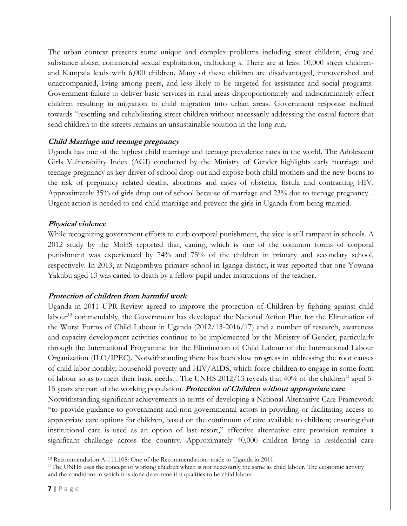The urban context presents some unique and complex problems including street children, drug and substance abuse, commercial sexual exploitation, trafficking s. There are at least 10,000 street childrenand Kampala leads with 6,000 children. Many of these children are disadvantaged, impoverished and unaccompanied, living among peers, and less likely to be targeted for assistance and social programs. Government failure to deliver basic services in rural areas-disproportionately and indiscriminately effect children resulting in migration to child migration into urban areas. Government response inclined towards "resettling and rehabilitating street children without necessarily addressing the casual factors that send children to the streets remains an unsustainable solution in the long run.

## **Child Marriage and teenage pregnancy**

Uganda has one of the highest child marriage and teenage prevalence rates in the world. The Adolescent Girls Vulnerability Index (AGI) conducted by the Ministry of Gender highlights early marriage and teenage pregnancy as key driver of school drop-out and expose both child mothers and the new-borns to the risk of pregnancy related deaths, abortions and cases of obstetric fistula and contracting HIV. Approximately 35% of girls drop out of school because of marriage and 23% due to teenage pregnancy. . Urgent action is needed to end child marriage and prevent the girls in Uganda from being married.

## **Physical violence**

While recognizing government efforts to curb corporal punishment, the vice is still rampant in schools. A 2012 study by the MoES reported that, caning, which is one of the common forms of corporal punishment was experienced by 74% and 75% of the children in primary and secondary school, respectively. In 2013, at Naigombwa primary school in Iganga district, it was reported that one Yowana Yakubu aged 13 was caned to death by a fellow pupil under instructions of the teacher**.**

## **Protection of children from harmful work**

Uganda in 2011 UPR Review agreed to improve the protection of Children by fighting against child labour<sup>10</sup> commendably, the Government has developed the National Action Plan for the Elimination of the Worst Forms of Child Labour in Uganda (2012/13-2016/17) and a number of research, awareness and capacity development activities continue to be implemented by the Ministry of Gender, particularly through the International Programme for the Elimination of Child Labour of the International Labour Organization (ILO/IPEC). Notwithstanding there has been slow progress in addressing the root causes of child labor notably; household poverty and HIV/AIDS, which force children to engage in some form of labour so as to meet their basic needs. . The UNHS 2012/13 reveals that 40% of the children<sup>11</sup> aged 5-15 years are part of the working population. **Protection of Children without appropriate care** Notwithstanding significant achievements in terms of developing a National Alternative Care Framework "to provide guidance to government and non-governmental actors in providing or facilitating access to appropriate care options for children, based on the continuum of care available to children; ensuring that institutional care is used as an option of last resort," effective alternative care provision remains a significant challenge across the country. Approximately 40,000 children living in residential care

l

<sup>10</sup> Recommendation A-111.108: One of the Recommendations made to Uganda in 2011

<sup>&</sup>lt;sup>11</sup>The UNHS uses the concept of working children which is not necessarily the same as child labour. The economic activity and the conditions in which it is done determine if it qualifies to be child labour.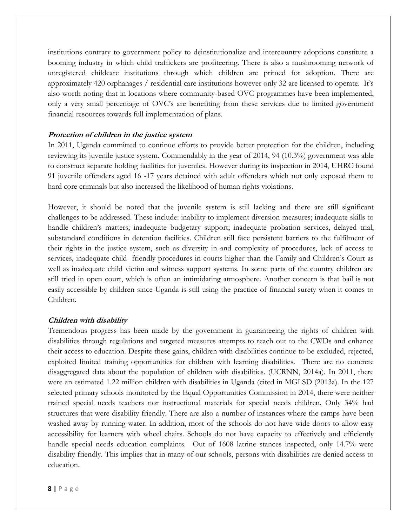institutions contrary to government policy to deinstitutionalize and intercountry adoptions constitute a booming industry in which child traffickers are profiteering. There is also a mushrooming network of unregistered childcare institutions through which children are primed for adoption. There are approximately 420 orphanages / residential care institutions however only 32 are licensed to operate. It's also worth noting that in locations where community-based OVC programmes have been implemented, only a very small percentage of OVC's are benefiting from these services due to limited government financial resources towards full implementation of plans.

#### **Protection of children in the justice system**

In 2011, Uganda committed to continue efforts to provide better protection for the children, including reviewing its juvenile justice system. Commendably in the year of 2014, 94 (10.3%) government was able to construct separate holding facilities for juveniles. However during its inspection in 2014, UHRC found 91 juvenile offenders aged 16 -17 years detained with adult offenders which not only exposed them to hard core criminals but also increased the likelihood of human rights violations.

However, it should be noted that the juvenile system is still lacking and there are still significant challenges to be addressed. These include: inability to implement diversion measures; inadequate skills to handle children's matters; inadequate budgetary support; inadequate probation services, delayed trial, substandard conditions in detention facilities. Children still face persistent barriers to the fulfilment of their rights in the justice system, such as diversity in and complexity of procedures, lack of access to services, inadequate child- friendly procedures in courts higher than the Family and Children's Court as well as inadequate child victim and witness support systems. In some parts of the country children are still tried in open court, which is often an intimidating atmosphere. Another concern is that bail is not easily accessible by children since Uganda is still using the practice of financial surety when it comes to Children.

#### **Children with disability**

Tremendous progress has been made by the government in guaranteeing the rights of children with disabilities through regulations and targeted measures attempts to reach out to the CWDs and enhance their access to education. Despite these gains, children with disabilities continue to be excluded, rejected, exploited limited training opportunities for children with learning disabilities. There are no concrete disaggregated data about the population of children with disabilities. (UCRNN, 2014a). In 2011, there were an estimated 1.22 million children with disabilities in Uganda (cited in MGLSD (2013a). In the 127 selected primary schools monitored by the Equal Opportunities Commission in 2014, there were neither trained special needs teachers nor instructional materials for special needs children. Only 34% had structures that were disability friendly. There are also a number of instances where the ramps have been washed away by running water. In addition, most of the schools do not have wide doors to allow easy accessibility for learners with wheel chairs. Schools do not have capacity to effectively and efficiently handle special needs education complaints. Out of 1608 latrine stances inspected, only 14.7% were disability friendly. This implies that in many of our schools, persons with disabilities are denied access to education.